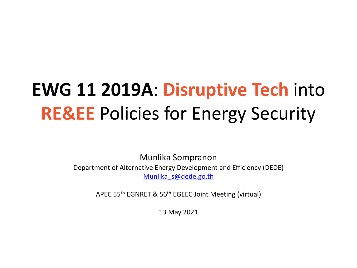# **EWG 11 2019A**: **Disruptive Tech** into **RE&EE** Policies for Energy Security

Munlika Sompranon Department of Alternative Energy Development and Efficiency (DEDE) [Munlika\\_s@dede.go.th](mailto:Munlika_s@dede.go.th)

APEC 55th EGNRET & 56th EGEEC Joint Meeting (virtual)

13 May 2021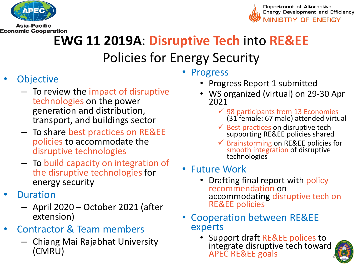

**Asia-Pacific Economic Cooperation** 



## **EWG 11 2019A**: **Disruptive Tech** into **RE&EE**  Policies for Energy Security

- **Objective** 
	- To review the impact of disruptive technologies on the power generation and distribution, transport, and buildings sector
	- To share best practices on RE&EE policies to accommodate the disruptive technologies
	- To build capacity on integration of the disruptive technologies for energy security
- **Duration** 
	- April 2020 October 2021 (after extension)
- Contractor & Team members
	- Chiang Mai Rajabhat University
- Progress
	- Progress Report 1 submitted
	- WS organized (virtual) on 29-30 Apr 2021
		- $\checkmark$  98 participants from 13 Economies (31 female: 67 male) attended virtual
		- Best practices on disruptive tech supporting RE&EE policies shared
		- Sarainstorming on RE&EE policies for smooth integration of disruptive technologies
- Future Work
	- Drafting final report with policy recommendation on accommodating disruptive tech on RE&EE policies
- Cooperation between RE&EE experts
- $\left(\text{CMRU}\right)$  and  $\left(\text{CMRU}\right)$ • Support draft RE&EE polices to integrate disruptive tech toward